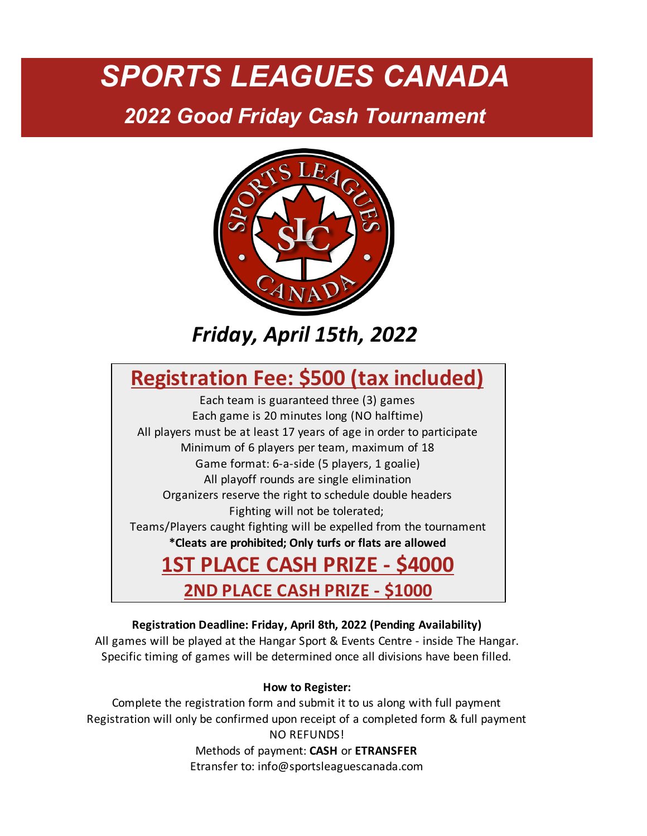# *SPORTS LEAGUES CANADA*

# *2022 Good Friday Cash Tournament*



# *Friday, April 15th, 2022*

## **Registration Fee: \$500 (tax included)**

Each team is guaranteed three (3) games Each game is 20 minutes long (NO halftime) All players must be at least 17 years of age in order to participate Minimum of 6 players per team, maximum of 18 Game format: 6-a-side (5 players, 1 goalie) All playoff rounds are single elimination Organizers reserve the right to schedule double headers Fighting will not be tolerated; Teams/Players caught fighting will be expelled from the tournament **\*Cleats are prohibited; Only turfs or flats are allowed**

### **1ST PLACE CASH PRIZE - \$4000 2ND PLACE CASH PRIZE - \$1000**

#### **Registration Deadline: Friday, April 8th, 2022 (Pending Availability)**

All games will be played at the Hangar Sport & Events Centre - inside The Hangar. Specific timing of games will be determined once all divisions have been filled.

#### **How to Register:**

Complete the registration form and submit it to us along with full payment Registration will only be confirmed upon receipt of a completed form & full payment NO REFUNDS! Methods of payment: **CASH** or **ETRANSFER** Etransfer to: info@sportsleaguescanada.com